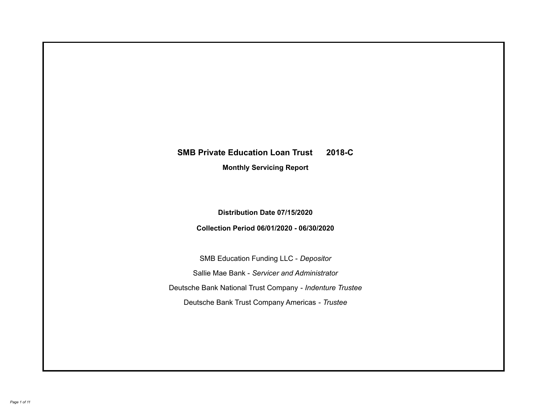# **SMB Private Education Loan Trust 2018-C Monthly Servicing Report**

**Distribution Date 07/15/2020**

**Collection Period 06/01/2020 - 06/30/2020**

SMB Education Funding LLC - *Depositor* Sallie Mae Bank - *Servicer and Administrator* Deutsche Bank National Trust Company - *Indenture Trustee* Deutsche Bank Trust Company Americas - *Trustee*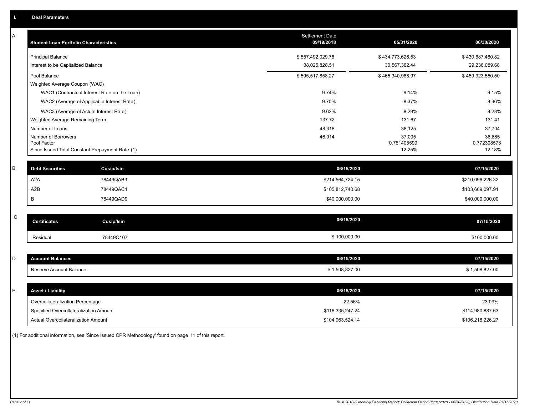| А | <b>Student Loan Portfolio Characteristics</b>                  |                                              | <b>Settlement Date</b><br>09/19/2018 | 05/31/2020            | 06/30/2020            |
|---|----------------------------------------------------------------|----------------------------------------------|--------------------------------------|-----------------------|-----------------------|
|   | <b>Principal Balance</b>                                       |                                              | \$557,492,029.76                     | \$434,773,626.53      | \$430,687,460.82      |
|   | Interest to be Capitalized Balance                             |                                              | 38,025,828.51                        | 30,567,362.44         | 29,236,089.68         |
|   | Pool Balance                                                   |                                              | \$595,517,858.27                     | \$465,340,988.97      | \$459,923,550.50      |
|   | Weighted Average Coupon (WAC)                                  |                                              |                                      |                       |                       |
|   |                                                                | WAC1 (Contractual Interest Rate on the Loan) | 9.74%                                | 9.14%                 | 9.15%                 |
|   |                                                                | WAC2 (Average of Applicable Interest Rate)   | 9.70%                                | 8.37%                 | 8.36%                 |
|   | WAC3 (Average of Actual Interest Rate)                         |                                              | 9.62%                                | 8.29%                 | 8.28%                 |
|   | Weighted Average Remaining Term                                |                                              | 137.72                               | 131.67                | 131.41                |
|   | Number of Loans                                                |                                              | 48,318                               | 38,125                | 37,704                |
|   | Number of Borrowers                                            |                                              | 46,914                               | 37,095                | 36,685                |
|   | Pool Factor<br>Since Issued Total Constant Prepayment Rate (1) |                                              |                                      | 0.781405599<br>12.25% | 0.772308578<br>12.18% |
|   |                                                                |                                              |                                      |                       |                       |
| B | <b>Debt Securities</b>                                         | Cusip/Isin                                   | 06/15/2020                           |                       | 07/15/2020            |
|   | A <sub>2</sub> A                                               | 78449QAB3                                    | \$214,564,724.15                     |                       | \$210,096,226.32      |
|   | A2B                                                            | 78449QAC1                                    | \$105,812,740.68                     |                       | \$103,609,097.91      |
|   | B                                                              | 78449QAD9                                    | \$40,000,000.00                      |                       | \$40,000,000.00       |
|   |                                                                |                                              |                                      |                       |                       |
| C | <b>Certificates</b>                                            | <b>Cusip/Isin</b>                            | 06/15/2020                           |                       | 07/15/2020            |
|   | Residual                                                       | 78449Q107                                    | \$100,000.00                         |                       | \$100,000.00          |
|   |                                                                |                                              |                                      |                       |                       |
| D | <b>Account Balances</b>                                        |                                              | 06/15/2020                           |                       | 07/15/2020            |
|   | Reserve Account Balance                                        |                                              | \$1,508,827.00                       |                       | \$1,508,827.00        |
|   |                                                                |                                              |                                      |                       |                       |
| Е | <b>Asset / Liability</b>                                       |                                              | 06/15/2020                           |                       | 07/15/2020            |
|   | Overcollateralization Percentage                               |                                              | 22.56%                               |                       | 23.09%                |
|   | Specified Overcollateralization Amount                         |                                              | \$116,335,247.24                     |                       | \$114,980,887.63      |
|   | Actual Overcollateralization Amount                            |                                              | \$104,963,524.14                     |                       | \$106,218,226.27      |

(1) For additional information, see 'Since Issued CPR Methodology' found on page 11 of this report.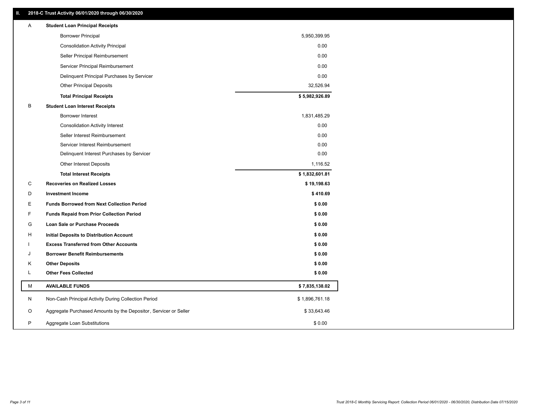### **II. 2018-C Trust Activity 06/01/2020 through 06/30/2020**

| Α | <b>Student Loan Principal Receipts</b>                           |                |  |
|---|------------------------------------------------------------------|----------------|--|
|   | <b>Borrower Principal</b>                                        | 5,950,399.95   |  |
|   | <b>Consolidation Activity Principal</b>                          | 0.00           |  |
|   | Seller Principal Reimbursement                                   | 0.00           |  |
|   | Servicer Principal Reimbursement                                 | 0.00           |  |
|   | Delinquent Principal Purchases by Servicer                       | 0.00           |  |
|   | <b>Other Principal Deposits</b>                                  | 32,526.94      |  |
|   | <b>Total Principal Receipts</b>                                  | \$5,982,926.89 |  |
| В | <b>Student Loan Interest Receipts</b>                            |                |  |
|   | Borrower Interest                                                | 1,831,485.29   |  |
|   | <b>Consolidation Activity Interest</b>                           | 0.00           |  |
|   | Seller Interest Reimbursement                                    | 0.00           |  |
|   | Servicer Interest Reimbursement                                  | 0.00           |  |
|   | Delinquent Interest Purchases by Servicer                        | 0.00           |  |
|   | <b>Other Interest Deposits</b>                                   | 1,116.52       |  |
|   | <b>Total Interest Receipts</b>                                   | \$1,832,601.81 |  |
| C | <b>Recoveries on Realized Losses</b>                             | \$19,198.63    |  |
| D | <b>Investment Income</b>                                         | \$410.69       |  |
| Е | <b>Funds Borrowed from Next Collection Period</b>                | \$0.00         |  |
| F | <b>Funds Repaid from Prior Collection Period</b>                 | \$0.00         |  |
| G | Loan Sale or Purchase Proceeds                                   | \$0.00         |  |
| H | Initial Deposits to Distribution Account                         | \$0.00         |  |
|   | <b>Excess Transferred from Other Accounts</b>                    | \$0.00         |  |
| J | <b>Borrower Benefit Reimbursements</b>                           | \$0.00         |  |
| Κ | <b>Other Deposits</b>                                            | \$0.00         |  |
| L | <b>Other Fees Collected</b>                                      | \$0.00         |  |
| М | <b>AVAILABLE FUNDS</b>                                           | \$7,835,138.02 |  |
| N | Non-Cash Principal Activity During Collection Period             | \$1,896,761.18 |  |
| O | Aggregate Purchased Amounts by the Depositor, Servicer or Seller | \$33,643.46    |  |
| P | Aggregate Loan Substitutions                                     | \$0.00         |  |
|   |                                                                  |                |  |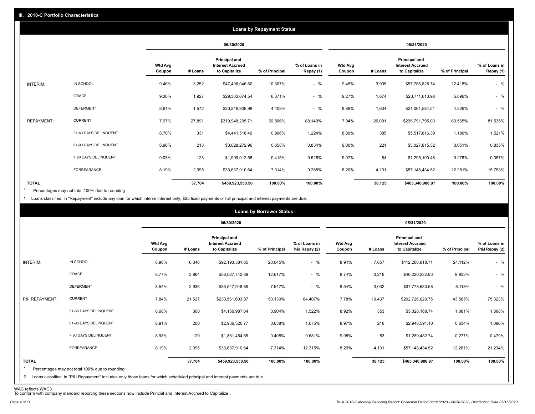|                   |                       |                          |            |                                                                  | <b>Loans by Repayment Status</b> |                            |                          |         |                                                           |                |                            |
|-------------------|-----------------------|--------------------------|------------|------------------------------------------------------------------|----------------------------------|----------------------------|--------------------------|---------|-----------------------------------------------------------|----------------|----------------------------|
|                   |                       |                          | 06/30/2020 |                                                                  |                                  |                            | 05/31/2020               |         |                                                           |                |                            |
|                   |                       | <b>Wtd Avg</b><br>Coupon | # Loans    | <b>Principal and</b><br><b>Interest Accrued</b><br>to Capitalize | % of Principal                   | % of Loans in<br>Repay (1) | <b>Wtd Avg</b><br>Coupon | # Loans | Principal and<br><b>Interest Accrued</b><br>to Capitalize | % of Principal | % of Loans in<br>Repay (1) |
| INTERIM:          | IN SCHOOL             | 9.46%                    | 3,252      | \$47,406,046.60                                                  | 10.307%                          | $-$ %                      | 9.45%                    | 3,905   | \$57,786,828.74                                           | 12.418%        | $-$ %                      |
|                   | <b>GRACE</b>          | 9.30%                    | 1,927      | \$29,303,674.54                                                  | 6.371%                           | $-$ %                      | 9.27%                    | 1,674   | \$23,711,613.98                                           | 5.096%         | $-$ %                      |
|                   | <b>DEFERMENT</b>      | 8.91%                    | 1,572      | \$20,248,908.98                                                  | 4.403%                           | $-$ %                      | 8.89%                    | 1,634   | \$21,061,584.51                                           | 4.526%         | $-$ %                      |
| <b>REPAYMENT:</b> | <b>CURRENT</b>        | 7.97%                    | 27,891     | \$319,948,205.71                                                 | 69.566%                          | 88.149%                    | 7.94%                    | 26,091  | \$295,791,795.03                                          | 63.565%        | 81.535%                    |
|                   | 31-60 DAYS DELINQUENT | 8.70%                    | 331        | \$4,441,518.49                                                   | 0.966%                           | 1.224%                     | 8.89%                    | 385     | \$5,517,816.39                                            | 1.186%         | 1.521%                     |
|                   | 61-90 DAYS DELINQUENT | 8.96%                    | 213        | \$3,028,272.96                                                   | 0.658%                           | 0.834%                     | 9.00%                    | 221     | \$3,027,815.32                                            | 0.651%         | 0.835%                     |
|                   | > 90 DAYS DELINQUENT  | 9.03%                    | 123        | \$1,909,012.58                                                   | 0.415%                           | 0.526%                     | 9.07%                    | 84      | \$1,295,100.48                                            | 0.278%         | 0.357%                     |
|                   | FORBEARANCE           | 8.19%                    | 2,395      | \$33,637,910.64                                                  | 7.314%                           | 9.268%                     | 8.20%                    | 4,131   | \$57,148,434.52                                           | 12.281%        | 15.753%                    |
| <b>TOTAL</b>      |                       |                          | 37,704     | \$459,923,550.50                                                 | 100.00%                          | 100.00%                    |                          | 38,125  | \$465,340,988.97                                          | 100.00%        | 100.00%                    |

Percentages may not total 100% due to rounding \*

1 Loans classified in "Repayment" include any loan for which interim interest only, \$25 fixed payments or full principal and interest payments are due.

|                                |                                                                                                                                                                              |                          |         |                                                                  | <b>Loans by Borrower Status</b> |                                |                          |            |                                                                  |                |                                |
|--------------------------------|------------------------------------------------------------------------------------------------------------------------------------------------------------------------------|--------------------------|---------|------------------------------------------------------------------|---------------------------------|--------------------------------|--------------------------|------------|------------------------------------------------------------------|----------------|--------------------------------|
|                                |                                                                                                                                                                              |                          |         | 06/30/2020                                                       |                                 |                                |                          | 05/31/2020 |                                                                  |                |                                |
|                                |                                                                                                                                                                              | <b>Wtd Avg</b><br>Coupon | # Loans | <b>Principal and</b><br><b>Interest Accrued</b><br>to Capitalize | % of Principal                  | % of Loans in<br>P&I Repay (2) | <b>Wtd Avg</b><br>Coupon | # Loans    | <b>Principal and</b><br><b>Interest Accrued</b><br>to Capitalize | % of Principal | % of Loans in<br>P&I Repay (2) |
| <b>INTERIM:</b>                | IN SCHOOL                                                                                                                                                                    | 8.96%                    | 6,346   | \$92,193,581.65                                                  | 20.045%                         | $-$ %                          | 8.94%                    | 7,657      | \$112,200,818.71                                                 | 24.112%        | $-$ %                          |
|                                | <b>GRACE</b>                                                                                                                                                                 | 8.77%                    | 3,864   | \$58,027,742.39                                                  | 12.617%                         | $-$ %                          | 8.74%                    | 3,216      | \$46,220,232.83                                                  | 9.933%         | $-$ %                          |
|                                | <b>DEFERMENT</b>                                                                                                                                                             | 8.54%                    | 2,936   | \$36,547,948.89                                                  | 7.947%                          | $-$ %                          | 8.54%                    | 3,032      | \$37,778,630.58                                                  | 8.118%         | $-$ %                          |
| P&I REPAYMENT:                 | <b>CURRENT</b>                                                                                                                                                               | 7.84%                    | 21,527  | \$230,561,603.87                                                 | 50.130%                         | 84.407%                        | 7.78%                    | 19,437     | \$202,726,629.75                                                 | 43.565%        | 75.323%                        |
|                                | 31-60 DAYS DELINQUENT                                                                                                                                                        | 8.68%                    | 308     | \$4,156,987.64                                                   | 0.904%                          | 1.522%                         | 8.92%                    | 353        | \$5,028,168.74                                                   | 1.081%         | 1.868%                         |
|                                | 61-90 DAYS DELINQUENT                                                                                                                                                        | 8.91%                    | 208     | \$2,936,320.77                                                   | 0.638%                          | 1.075%                         | 8.97%                    | 216        | \$2,948,591.10                                                   | 0.634%         | 1.096%                         |
|                                | > 90 DAYS DELINQUENT                                                                                                                                                         | 8.98%                    | 120     | \$1,861,454.65                                                   | 0.405%                          | 0.681%                         | 9.08%                    | 83         | \$1,289,482.74                                                   | 0.277%         | 0.479%                         |
|                                | FORBEARANCE                                                                                                                                                                  | 8.19%                    | 2,395   | \$33,637,910.64                                                  | 7.314%                          | 12.315%                        | 8.20%                    | 4,131      | \$57,148,434.52                                                  | 12.281%        | 21.234%                        |
| <b>TOTAL</b><br>$\overline{2}$ | Percentages may not total 100% due to rounding<br>Loans classified in "P&I Repayment" includes only those loans for which scheduled principal and interest payments are due. |                          | 37,704  | \$459,923,550.50                                                 | 100.00%                         | 100.00%                        |                          | 38,125     | \$465,340,988.97                                                 | 100.00%        | 100.00%                        |

WAC reflects WAC3 To conform with company standard reporting these sections now include Princial and Interest Accrued to Capitalize .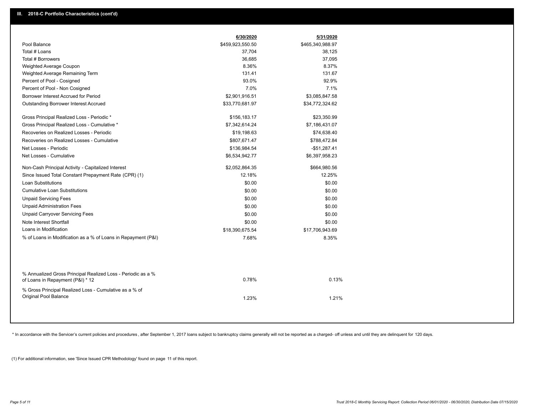|                                                                                                  | 6/30/2020        | 5/31/2020        |  |
|--------------------------------------------------------------------------------------------------|------------------|------------------|--|
| Pool Balance                                                                                     | \$459,923,550.50 | \$465,340,988.97 |  |
| Total # Loans                                                                                    | 37,704           | 38,125           |  |
| Total # Borrowers                                                                                | 36,685           | 37,095           |  |
| Weighted Average Coupon                                                                          | 8.36%            | 8.37%            |  |
| Weighted Average Remaining Term                                                                  | 131.41           | 131.67           |  |
| Percent of Pool - Cosigned                                                                       | 93.0%            | 92.9%            |  |
| Percent of Pool - Non Cosigned                                                                   | 7.0%             | 7.1%             |  |
| Borrower Interest Accrued for Period                                                             | \$2,901,916.51   | \$3,085,847.58   |  |
| <b>Outstanding Borrower Interest Accrued</b>                                                     | \$33,770,681.97  | \$34,772,324.62  |  |
| Gross Principal Realized Loss - Periodic *                                                       | \$156,183.17     | \$23,350.99      |  |
| Gross Principal Realized Loss - Cumulative *                                                     | \$7,342,614.24   | \$7,186,431.07   |  |
| Recoveries on Realized Losses - Periodic                                                         | \$19,198.63      | \$74,638.40      |  |
| Recoveries on Realized Losses - Cumulative                                                       | \$807,671.47     | \$788,472.84     |  |
| Net Losses - Periodic                                                                            | \$136,984.54     | $-$51,287.41$    |  |
| Net Losses - Cumulative                                                                          | \$6,534,942.77   | \$6,397,958.23   |  |
| Non-Cash Principal Activity - Capitalized Interest                                               | \$2,052,864.35   | \$664,980.56     |  |
| Since Issued Total Constant Prepayment Rate (CPR) (1)                                            | 12.18%           | 12.25%           |  |
| <b>Loan Substitutions</b>                                                                        | \$0.00           | \$0.00           |  |
| <b>Cumulative Loan Substitutions</b>                                                             | \$0.00           | \$0.00           |  |
| <b>Unpaid Servicing Fees</b>                                                                     | \$0.00           | \$0.00           |  |
| <b>Unpaid Administration Fees</b>                                                                | \$0.00           | \$0.00           |  |
| <b>Unpaid Carryover Servicing Fees</b>                                                           | \$0.00           | \$0.00           |  |
| Note Interest Shortfall                                                                          | \$0.00           | \$0.00           |  |
| Loans in Modification                                                                            | \$18,390,675.54  | \$17,706,943.69  |  |
| % of Loans in Modification as a % of Loans in Repayment (P&I)                                    | 7.68%            | 8.35%            |  |
|                                                                                                  |                  |                  |  |
| % Annualized Gross Principal Realized Loss - Periodic as a %<br>of Loans in Repayment (P&I) * 12 | 0.78%            | 0.13%            |  |
| % Gross Principal Realized Loss - Cumulative as a % of<br>Original Pool Balance                  | 1.23%            | 1.21%            |  |

\* In accordance with the Servicer's current policies and procedures, after September 1, 2017 loans subject to bankruptcy claims generally will not be reported as a charged- off unless and until they are delinquent for 120

(1) For additional information, see 'Since Issued CPR Methodology' found on page 11 of this report.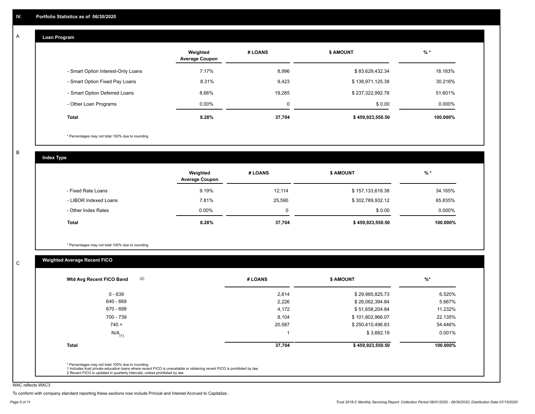#### **Loan Program**  A

|                                    | Weighted<br><b>Average Coupon</b> | # LOANS  | <b>\$ AMOUNT</b> | $%$ *    |
|------------------------------------|-----------------------------------|----------|------------------|----------|
| - Smart Option Interest-Only Loans | 7.17%                             | 8,996    | \$83,629,432.34  | 18.183%  |
| - Smart Option Fixed Pay Loans     | 8.31%                             | 9,423    | \$138,971,125.38 | 30.216%  |
| - Smart Option Deferred Loans      | 8.66%                             | 19.285   | \$237,322,992.78 | 51.601%  |
| - Other Loan Programs              | $0.00\%$                          | $\Omega$ | \$0.00           | 0.000%   |
| <b>Total</b>                       | 8.28%                             | 37,704   | \$459,923,550.50 | 100.000% |

\* Percentages may not total 100% due to rounding

B

C

**Index Type**

|                       | Weighted<br><b>Average Coupon</b> | # LOANS | <b>\$ AMOUNT</b> | $%$ *     |
|-----------------------|-----------------------------------|---------|------------------|-----------|
| - Fixed Rate Loans    | 9.19%                             | 12,114  | \$157,133,618.38 | 34.165%   |
| - LIBOR Indexed Loans | 7.81%                             | 25,590  | \$302,789,932.12 | 65.835%   |
| - Other Index Rates   | $0.00\%$                          | 0       | \$0.00           | $0.000\%$ |
| Total                 | 8.28%                             | 37,704  | \$459,923,550.50 | 100.000%  |

\* Percentages may not total 100% due to rounding

## **Weighted Average Recent FICO**

| (2)<br>Wtd Avg Recent FICO Band | # LOANS | <b>\$ AMOUNT</b> | $%$ *    |
|---------------------------------|---------|------------------|----------|
| $0 - 639$                       | 2,614   | \$29,985,825.73  | 6.520%   |
| 640 - 669                       | 2,226   | \$26,062,394.84  | 5.667%   |
| 670 - 699                       | 4,172   | \$51,658,204.84  | 11.232%  |
| 700 - 739                       | 8,104   | \$101,802,966.07 | 22.135%  |
| $740 +$                         | 20,587  | \$250,410,496.83 | 54.446%  |
| $N/A$ <sub>(1)</sub>            |         | \$3,662.19       | 0.001%   |
| <b>Total</b>                    | 37,704  | \$459,923,550.50 | 100.000% |
|                                 |         |                  |          |

WAC reflects WAC3

To conform with company standard reporting these sections now include Princial and Interest Accrued to Capitalize .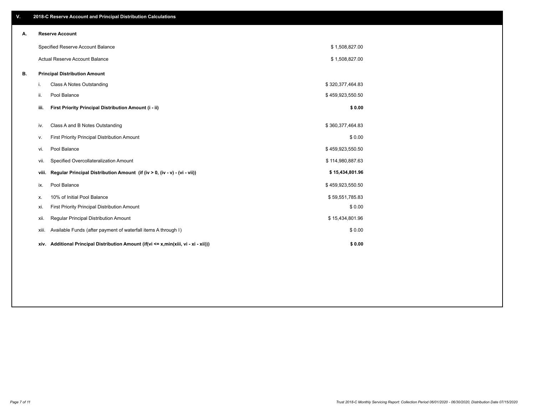| V. |       | 2018-C Reserve Account and Principal Distribution Calculations                  |                  |  |
|----|-------|---------------------------------------------------------------------------------|------------------|--|
| Α. |       | <b>Reserve Account</b>                                                          |                  |  |
|    |       | Specified Reserve Account Balance                                               | \$1,508,827.00   |  |
|    |       | <b>Actual Reserve Account Balance</b>                                           | \$1,508,827.00   |  |
| В. |       | <b>Principal Distribution Amount</b>                                            |                  |  |
|    | i.    | Class A Notes Outstanding                                                       | \$320,377,464.83 |  |
|    | ii.   | Pool Balance                                                                    | \$459,923,550.50 |  |
|    | iii.  | First Priority Principal Distribution Amount (i - ii)                           | \$0.00           |  |
|    | iv.   | Class A and B Notes Outstanding                                                 | \$360,377,464.83 |  |
|    | v.    | First Priority Principal Distribution Amount                                    | \$0.00           |  |
|    | vi.   | Pool Balance                                                                    | \$459,923,550.50 |  |
|    | vii.  | Specified Overcollateralization Amount                                          | \$114,980,887.63 |  |
|    | viii. | Regular Principal Distribution Amount (if (iv > 0, (iv - v) - (vi - vii))       | \$15,434,801.96  |  |
|    | ix.   | Pool Balance                                                                    | \$459,923,550.50 |  |
|    | х.    | 10% of Initial Pool Balance                                                     | \$59,551,785.83  |  |
|    | xi.   | First Priority Principal Distribution Amount                                    | \$0.00           |  |
|    | xii.  | Regular Principal Distribution Amount                                           | \$15,434,801.96  |  |
|    | xiii. | Available Funds (after payment of waterfall items A through I)                  | \$0.00           |  |
|    | xiv.  | Additional Principal Distribution Amount (if(vi <= x,min(xiii, vi - xi - xii))) | \$0.00           |  |
|    |       |                                                                                 |                  |  |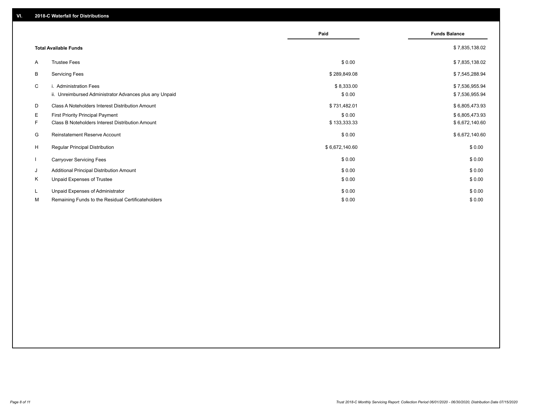|              |                                                                                   | Paid                 | <b>Funds Balance</b>             |
|--------------|-----------------------------------------------------------------------------------|----------------------|----------------------------------|
|              | <b>Total Available Funds</b>                                                      |                      | \$7,835,138.02                   |
| A            | <b>Trustee Fees</b>                                                               | \$0.00               | \$7,835,138.02                   |
| В            | <b>Servicing Fees</b>                                                             | \$289,849.08         | \$7,545,288.94                   |
| C            | i. Administration Fees<br>ii. Unreimbursed Administrator Advances plus any Unpaid | \$8,333.00<br>\$0.00 | \$7,536,955.94<br>\$7,536,955.94 |
| D            | Class A Noteholders Interest Distribution Amount                                  | \$731,482.01         | \$6,805,473.93                   |
| Е            | <b>First Priority Principal Payment</b>                                           | \$0.00               | \$6,805,473.93                   |
| F.           | Class B Noteholders Interest Distribution Amount                                  | \$133,333.33         | \$6,672,140.60                   |
| G            | <b>Reinstatement Reserve Account</b>                                              | \$0.00               | \$6,672,140.60                   |
| H            | Regular Principal Distribution                                                    | \$6,672,140.60       | \$0.00                           |
| $\mathbf{I}$ | <b>Carryover Servicing Fees</b>                                                   | \$0.00               | \$0.00                           |
| J            | Additional Principal Distribution Amount                                          | \$0.00               | \$0.00                           |
| Κ            | Unpaid Expenses of Trustee                                                        | \$0.00               | \$0.00                           |
| L            | Unpaid Expenses of Administrator                                                  | \$0.00               | \$0.00                           |
| М            | Remaining Funds to the Residual Certificateholders                                | \$0.00               | \$0.00                           |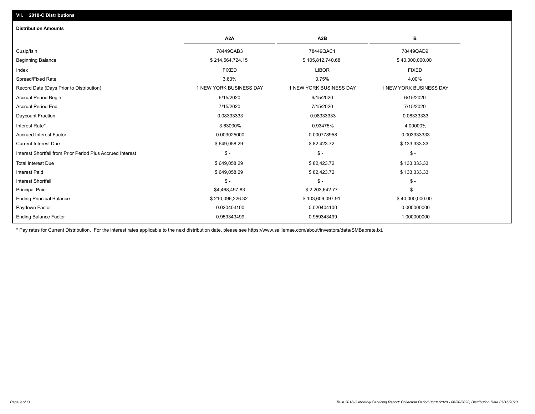| A <sub>2</sub> A        | A <sub>2</sub> B        | в                       |
|-------------------------|-------------------------|-------------------------|
| 78449QAB3               | 78449QAC1               | 78449QAD9               |
| \$214,564,724.15        | \$105,812,740.68        | \$40,000,000.00         |
| <b>FIXED</b>            | <b>LIBOR</b>            | <b>FIXED</b>            |
| 3.63%                   | 0.75%                   | 4.00%                   |
| 1 NEW YORK BUSINESS DAY | 1 NEW YORK BUSINESS DAY | 1 NEW YORK BUSINESS DAY |
| 6/15/2020               | 6/15/2020               | 6/15/2020               |
| 7/15/2020               | 7/15/2020               | 7/15/2020               |
| 0.08333333              | 0.08333333              | 0.08333333              |
| 3.63000%                | 0.93475%                | 4.00000%                |
| 0.003025000             | 0.000778958             | 0.003333333             |
| \$649,058.29            | \$82,423.72             | \$133,333.33            |
| $\mathsf{\$}$ -         | $\mathsf{\$}$ -         | $\mathcal{S}$ -         |
| \$649,058.29            | \$82,423.72             | \$133,333.33            |
| \$649,058.29            | \$82,423.72             | \$133,333.33            |
| $\frac{1}{2}$           | $\mathsf{\$}$ -         | $\mathcal{S}$ -         |
| \$4,468,497.83          | \$2,203,642.77          | $\mathsf{\$}$ -         |
| \$210,096,226.32        | \$103,609,097.91        | \$40,000,000.00         |
| 0.020404100             | 0.020404100             | 0.000000000             |
| 0.959343499             | 0.959343499             | 1.000000000             |
|                         |                         |                         |

\* Pay rates for Current Distribution. For the interest rates applicable to the next distribution date, please see https://www.salliemae.com/about/investors/data/SMBabrate.txt.

**VII. 2018-C Distributions**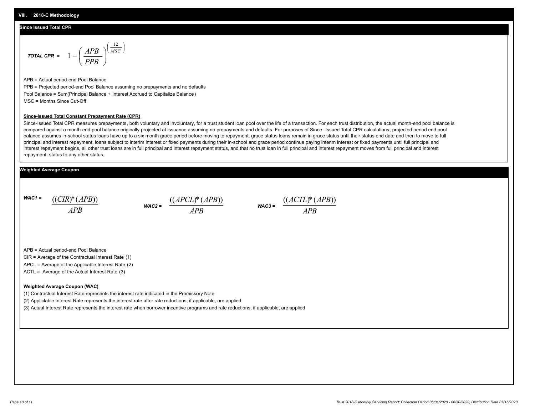#### **Since Issued Total CPR**

$$
\text{total CPR} = 1 - \left(\frac{APB}{PPB}\right)^{\left(\frac{12}{MSC}\right)}
$$

APB = Actual period-end Pool Balance PPB = Projected period-end Pool Balance assuming no prepayments and no defaults Pool Balance = Sum(Principal Balance + Interest Accrued to Capitalize Balance) MSC = Months Since Cut-Off

#### **Since-Issued Total Constant Prepayment Rate (CPR)**

Since-Issued Total CPR measures prepayments, both voluntary and involuntary, for a trust student loan pool over the life of a transaction. For each trust distribution, the actual month-end pool balance is compared against a month-end pool balance originally projected at issuance assuming no prepayments and defaults. For purposes of Since- Issued Total CPR calculations, projected period end pool balance assumes in-school status loans have up to a six month grace period before moving to repayment, grace status loans remain in grace status until their status end date and then to move to full principal and interest repayment, loans subject to interim interest or fixed payments during their in-school and grace period continue paying interim interest or fixed payments until full principal and interest repayment begins, all other trust loans are in full principal and interest repayment status, and that no trust loan in full principal and interest repayment moves from full principal and interest repayment status to any other status.

#### **Weighted Average Coupon**

*WAC1 = APB* ((*CIR*)\*(*APB*))

*WAC2 = APB*  $\frac{((APCL)^{*}(APB))}{APB}$  wac<sub>3</sub> =  $\frac{((ACTL)^{*}(A)P}{APB}$ 



APB = Actual period-end Pool Balance

CIR = Average of the Contractual Interest Rate (1)

APCL = Average of the Applicable Interest Rate (2)

ACTL = Average of the Actual Interest Rate (3)

#### **Weighted Average Coupon (WAC)**

(1) Contractual Interest Rate represents the interest rate indicated in the Promissory Note

(2) Appliclable Interest Rate represents the interest rate after rate reductions, if applicable, are applied

(3) Actual Interest Rate represents the interest rate when borrower incentive programs and rate reductions, if applicable, are applied